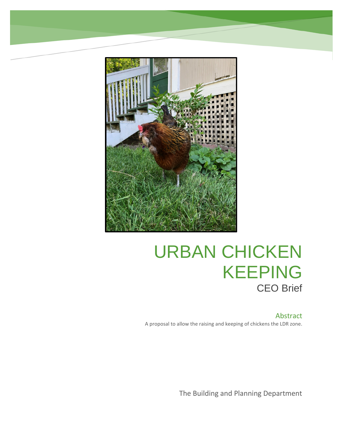

# URBAN CHICKEN KEEPING CEO Brief

### Abstract

A proposal to allow the raising and keeping of chickens the LDR zone.

The Building and Planning Department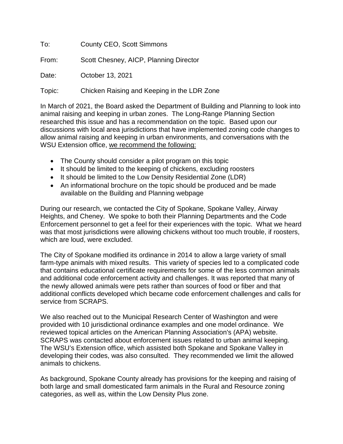To: County CEO, Scott Simmons

From: Scott Chesney, AICP, Planning Director

Date: **October 13, 2021** 

Topic: Chicken Raising and Keeping in the LDR Zone

In March of 2021, the Board asked the Department of Building and Planning to look into animal raising and keeping in urban zones. The Long-Range Planning Section researched this issue and has a recommendation on the topic. Based upon our discussions with local area jurisdictions that have implemented zoning code changes to allow animal raising and keeping in urban environments, and conversations with the WSU Extension office, we recommend the following:

- The County should consider a pilot program on this topic
- It should be limited to the keeping of chickens, excluding roosters
- It should be limited to the Low Density Residential Zone (LDR)
- An informational brochure on the topic should be produced and be made available on the Building and Planning webpage

During our research, we contacted the City of Spokane, Spokane Valley, Airway Heights, and Cheney. We spoke to both their Planning Departments and the Code Enforcement personnel to get a feel for their experiences with the topic. What we heard was that most jurisdictions were allowing chickens without too much trouble, if roosters, which are loud, were excluded.

The City of Spokane modified its ordinance in 2014 to allow a large variety of small farm-type animals with mixed results. This variety of species led to a complicated code that contains educational certificate requirements for some of the less common animals and additional code enforcement activity and challenges. It was reported that many of the newly allowed animals were pets rather than sources of food or fiber and that additional conflicts developed which became code enforcement challenges and calls for service from SCRAPS.

We also reached out to the Municipal Research Center of Washington and were provided with 10 jurisdictional ordinance examples and one model ordinance. We reviewed topical articles on the American Planning Association's (APA) website. SCRAPS was contacted about enforcement issues related to urban animal keeping. The WSU's Extension office, which assisted both Spokane and Spokane Valley in developing their codes, was also consulted. They recommended we limit the allowed animals to chickens.

As background, Spokane County already has provisions for the keeping and raising of both large and small domesticated farm animals in the Rural and Resource zoning categories, as well as, within the Low Density Plus zone.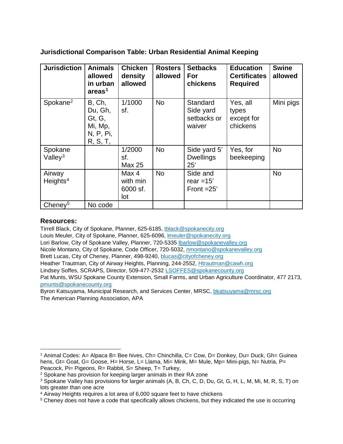**Jurisdictional Comparison Table: Urban Residential Animal Keeping**

| <b>Jurisdiction</b>            | <b>Animals</b><br>allowed<br>in urban<br>areas <sup>1</sup>     | <b>Chicken</b><br>density<br>allowed | <b>Rosters</b><br>allowed | <b>Setbacks</b><br>For<br>chickens             | <b>Education</b><br><b>Certificates</b><br><b>Required</b> | <b>Swine</b><br>allowed |
|--------------------------------|-----------------------------------------------------------------|--------------------------------------|---------------------------|------------------------------------------------|------------------------------------------------------------|-------------------------|
| Spokane <sup>2</sup>           | B, Ch,<br>Du, Gh,<br>Gt, G,<br>Mi, Mp,<br>N, P, Pi,<br>R, S, T, | 1/1000<br>sf.                        | <b>No</b>                 | Standard<br>Side yard<br>setbacks or<br>waiver | Yes, all<br>types<br>except for<br>chickens                | Mini pigs               |
| Spokane<br>Valley $3$          |                                                                 | 1/2000<br>sf.<br><b>Max 25</b>       | <b>No</b>                 | Side yard 5'<br><b>Dwellings</b><br>25'        | Yes, for<br>beekeeping                                     | <b>No</b>               |
| Airway<br>Heights <sup>4</sup> |                                                                 | Max 4<br>with min<br>6000 sf.<br>lot | <b>No</b>                 | Side and<br>rear $=15'$<br>Front $=25'$        |                                                            | <b>No</b>               |
| Cheney <sup>5</sup>            | No code                                                         |                                      |                           |                                                |                                                            |                         |

#### **Resources:**

Tirrell Black, City of Spokane, Planner, 625-6185, [tblack@spokanecity.org](mailto:tblack@spokanecity.org) Louis Meuler, City of Spokane, Planner, 625-6096, [lmeuler@spokanecity.org](mailto:lmeuler@spokanecity.org) Lori Barlow, City of Spokane Valley, Planner, 720-5335 [lbarlow@spokanevalley.org](mailto:lbarlow@spokanevalley.org) Nicole Montano, City of Spokane, Code Officer, 720-5032, [nmontano@spokanevalley.org](mailto:nmontano@spokanevalley.org) Brett Lucas, City of Cheney, Planner, 498-9240, [blucas@cityofcheney.org](mailto:blucas@cityofcheney.org) Heather Trautman, City of Airway Heights, Planning, 244-2552, [Htrautman@cawh.org](mailto:Htrautman@cawh.org) Lindsey Soffes, SCRAPS, Director, 509-477-2532 [LSOFFES@spokanecounty.org](mailto:LSOFFES@spokanecounty.org) Pat Munts, WSU Spokane County Extension, Small Farms, and Urban Agriculture Coordinator, 477 2173, [pmunts@spokanecounty.org](mailto:pmunts@spokanecounty.org)

Byron Katsuyama, Municipal Research, and Services Center, MRSC, [bkatsuyama@mrsc.org](mailto:bkatsuyama@mrsc.org) The American Planning Association, APA

<span id="page-2-0"></span><sup>&</sup>lt;sup>1</sup> Animal Codes: A= Alpaca B= Bee hives, Ch= Chinchilla, C= Cow, D= Donkey, Du= Duck, Gh= Guinea hens, Gt= Goat, G= Goose, H= Horse, L= Llama, Mi= Mink, M= Mule, Mp= Mini-pigs, N= Nutria, P= Peacock, Pi= Pigeons, R= Rabbit, S= Sheep, T= Turkey,

<span id="page-2-1"></span><sup>2</sup> Spokane has provision for keeping larger animals in their RA zone

<span id="page-2-2"></span><sup>3</sup> Spokane Valley has provisions for larger animals (A, B, Ch, C, D, Du, Gt, G, H, L, M, Mi, M, R, S, T) on lots greater than one acre

<span id="page-2-3"></span><sup>4</sup> Airway Heights requires a lot area of 6,000 square feet to have chickens

<span id="page-2-4"></span><sup>5</sup> Cheney does not have a code that specifically allows chickens, but they indicated the use is occurring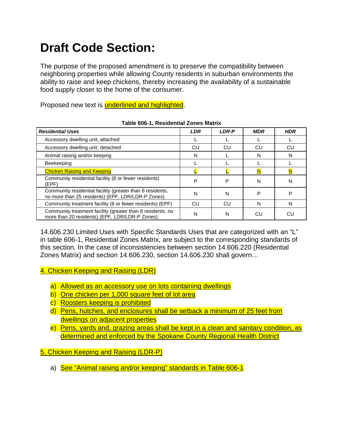## **Draft Code Section:**

The purpose of the proposed amendment is to preserve the compatibility between neighboring properties while allowing County residents in suburban environments the ability to raise and keep chickens, thereby increasing the availability of a sustainable food supply closer to the home of the consumer.

Proposed new text is underlined and highlighted.

| <b>Residential Uses</b>                                                                                        | <b>LDR</b> | <b>LDR-P</b> | <b>MDR</b> | <b>HDR</b> |
|----------------------------------------------------------------------------------------------------------------|------------|--------------|------------|------------|
| Accessory dwelling unit, attached                                                                              |            |              |            |            |
| Accessory dwelling unit, detached                                                                              | CU         | CU           | CU         | CU         |
| Animal raising and/or keeping                                                                                  | N          |              | N          | N          |
| <b>Beekeeping</b>                                                                                              |            |              |            |            |
| <b>Chicken Raising and Keeping</b>                                                                             |            |              |            |            |
| Community residential facility (8 or fewer residents)<br>(EPF)                                                 | P          | P            | N          | N          |
| Community residential facility (greater than 8 residents,<br>no more than 25 residents) (EPF, LDR/LDR-P Zones) | N          | N            | P          | Ρ          |
| Community treatment facility (8 or fewer residents) (EPF)                                                      | CU         | CU           | N          | N          |
| Community treatment facility (greater than 8 residents, no<br>more than 20 residents) (EPF, LDR/LDR-P Zones)   | N          | N            | CU         | CU         |

**Table 606-1, Residential Zones Matrix**

14.606.230 Limited Uses with Specific Standards Uses that are categorized with an "L" in table 606-1, Residential Zones Matrix, are subject to the corresponding standards of this section. In the case of inconsistencies between section 14.606.220 (Residential Zones Matrix) and section 14.606.230, section 14.606.230 shall govern…

4. Chicken Keeping and Raising (LDR)

- a) Allowed as an accessory use on lots containing dwellings
- b) One chicken per 1,000 square feet of lot area
- c) Roosters keeping is prohibited
- d) Pens, hutches, and enclosures shall be setback a minimum of 25 feet from dwellings on adjacent properties
- e) Pens, yards and, grazing areas shall be kept in a clean and sanitary condition, as determined and enforced by the Spokane County Regional Health District

5. Chicken Keeping and Raising (LDR-P)

a) See "Animal raising and/or keeping" standards in Table 606-1